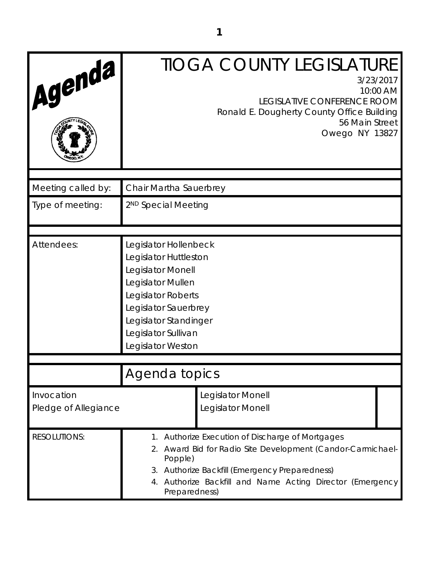| Agenda                             |                                                                                                                                                                                                             | <b>TIOGA COUNTY LEGISLATURE</b><br>3/23/2017<br>10:00 AM<br><b>LEGISLATIVE CONFERENCE ROOM</b><br>Ronald E. Dougherty County Office Building<br>56 Main Street<br>Owego NY 13827                                            |  |
|------------------------------------|-------------------------------------------------------------------------------------------------------------------------------------------------------------------------------------------------------------|-----------------------------------------------------------------------------------------------------------------------------------------------------------------------------------------------------------------------------|--|
| Meeting called by:                 | Chair Martha Sauerbrey                                                                                                                                                                                      |                                                                                                                                                                                                                             |  |
| Type of meeting:                   | 2 <sup>ND</sup> Special Meeting                                                                                                                                                                             |                                                                                                                                                                                                                             |  |
| Attendees:                         | Legislator Hollenbeck<br>Legislator Huttleston<br>Legislator Monell<br>Legislator Mullen<br>Legislator Roberts<br>Legislator Sauerbrey<br>Legislator Standinger<br>Legislator Sullivan<br>Legislator Weston |                                                                                                                                                                                                                             |  |
|                                    | Agenda topics                                                                                                                                                                                               |                                                                                                                                                                                                                             |  |
| Invocation<br>Pledge of Allegiance |                                                                                                                                                                                                             | Legislator Monell<br>Legislator Monell                                                                                                                                                                                      |  |
| <b>RESOLUTIONS:</b>                | Popple)<br>Preparedness)                                                                                                                                                                                    | Authorize Execution of Discharge of Mortgages<br>2. Award Bid for Radio Site Development (Candor-Carmichael-<br>3. Authorize Backfill (Emergency Preparedness)<br>4. Authorize Backfill and Name Acting Director (Emergency |  |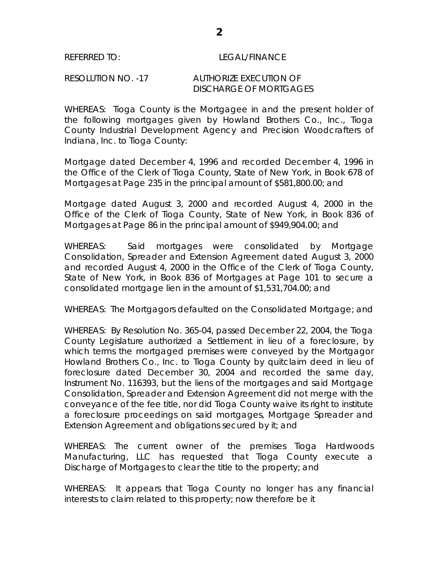## REFERRED TO: LEGAL/FINANCE

## RESOLUTION NO. -17 AUTHORIZE EXECUTION OF DISCHARGE OF MORTGAGES

WHEREAS: Tioga County is the Mortgagee in and the present holder of the following mortgages given by Howland Brothers Co., Inc., Tioga County Industrial Development Agency and Precision Woodcrafters of Indiana, Inc. to Tioga County:

Mortgage dated December 4, 1996 and recorded December 4, 1996 in the Office of the Clerk of Tioga County, State of New York, in Book 678 of Mortgages at Page 235 in the principal amount of \$581,800.00; and

Mortgage dated August 3, 2000 and recorded August 4, 2000 in the Office of the Clerk of Tioga County, State of New York, in Book 836 of Mortgages at Page 86 in the principal amount of \$949,904.00; and

WHEREAS: Said mortgages were consolidated by Mortgage Consolidation, Spreader and Extension Agreement dated August 3, 2000 and recorded August 4, 2000 in the Office of the Clerk of Tioga County, State of New York, in Book 836 of Mortgages at Page 101 to secure a consolidated mortgage lien in the amount of \$1,531,704.00; and

WHEREAS: The Mortgagors defaulted on the Consolidated Mortgage; and

WHEREAS: By Resolution No. 365-04, passed December 22, 2004, the Tioga County Legislature authorized a Settlement in lieu of a foreclosure, by which terms the mortgaged premises were conveyed by the Mortgagor Howland Brothers Co., Inc. to Tioga County by quitclaim deed in lieu of foreclosure dated December 30, 2004 and recorded the same day, Instrument No. 116393, but the liens of the mortgages and said Mortgage Consolidation, Spreader and Extension Agreement did not merge with the conveyance of the fee title, nor did Tioga County waive its right to institute a foreclosure proceedings on said mortgages, Mortgage Spreader and Extension Agreement and obligations secured by it; and

WHEREAS: The current owner of the premises Tioga Hardwoods Manufacturing, LLC has requested that Tioga County execute a Discharge of Mortgages to clear the title to the property; and

WHEREAS: It appears that Tioga County no longer has any financial interests to claim related to this property; now therefore be it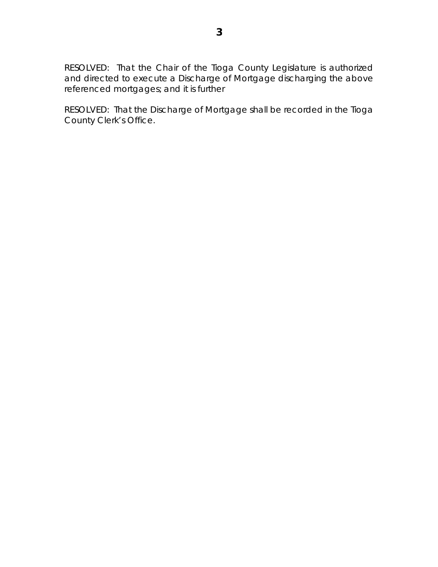RESOLVED: That the Chair of the Tioga County Legislature is authorized and directed to execute a Discharge of Mortgage discharging the above referenced mortgages; and it is further

RESOLVED: That the Discharge of Mortgage shall be recorded in the Tioga County Clerk's Office.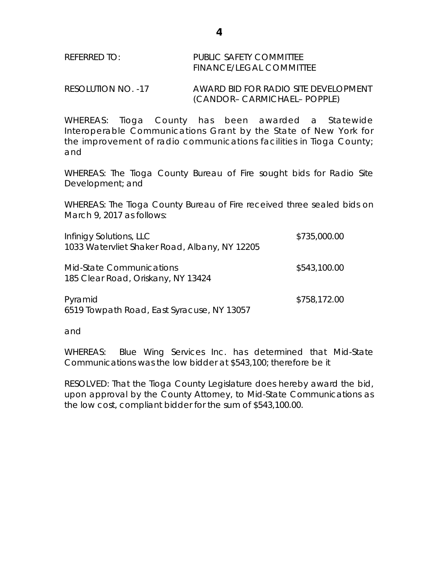RESOLUTION NO. -17 AWARD BID FOR RADIO SITE DEVELOPMENT (CANDOR– CARMICHAEL– POPPLE)

WHEREAS: Tioga County has been awarded a Statewide Interoperable Communications Grant by the State of New York for the improvement of radio communications facilities in Tioga County; and

WHEREAS: The Tioga County Bureau of Fire sought bids for Radio Site Development; and

WHEREAS: The Tioga County Bureau of Fire received three sealed bids on March 9, 2017 as follows:

| Infinigy Solutions, LLC<br>1033 Watervliet Shaker Road, Albany, NY 12205                                       | \$735,000.00 |
|----------------------------------------------------------------------------------------------------------------|--------------|
| <b>Mid-State Communications</b><br>185 Clear Road, Oriskany, NY 13424                                          | \$543,100.00 |
| Pyramid<br>$1\sqrt{10}$ Taylor all $\sqrt{10}$ and $\sqrt{10}$ and $\sqrt{10}$ and $\sqrt{10}$ and $\sqrt{10}$ | \$758,172.00 |

6519 Towpath Road, East Syracuse, NY 13057

and

WHEREAS: Blue Wing Services Inc. has determined that Mid-State Communications was the low bidder at \$543,100; therefore be it

RESOLVED: That the Tioga County Legislature does hereby award the bid, upon approval by the County Attorney, to Mid-State Communications as the low cost, compliant bidder for the sum of \$543,100.00.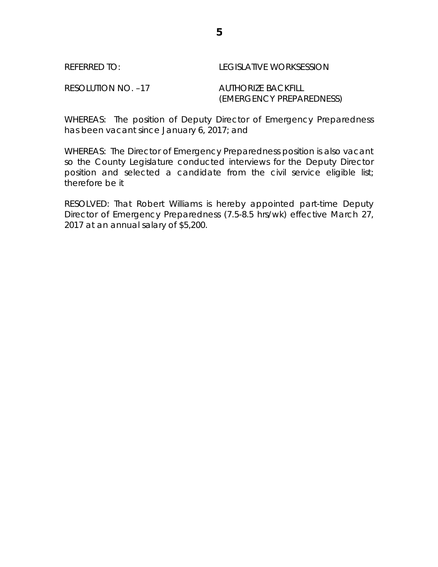## REFERRED TO: LEGISLATIVE WORKSESSION

RESOLUTION NO. -17 AUTHORIZE BACKFILL

(EMERGENCY PREPAREDNESS)

WHEREAS: The position of Deputy Director of Emergency Preparedness has been vacant since January 6, 2017; and

WHEREAS: The Director of Emergency Preparedness position is also vacant so the County Legislature conducted interviews for the Deputy Director position and selected a candidate from the civil service eligible list; therefore be it

RESOLVED: That Robert Williams is hereby appointed part-time Deputy Director of Emergency Preparedness (7.5-8.5 hrs/wk) effective March 27, 2017 at an annual salary of \$5,200.